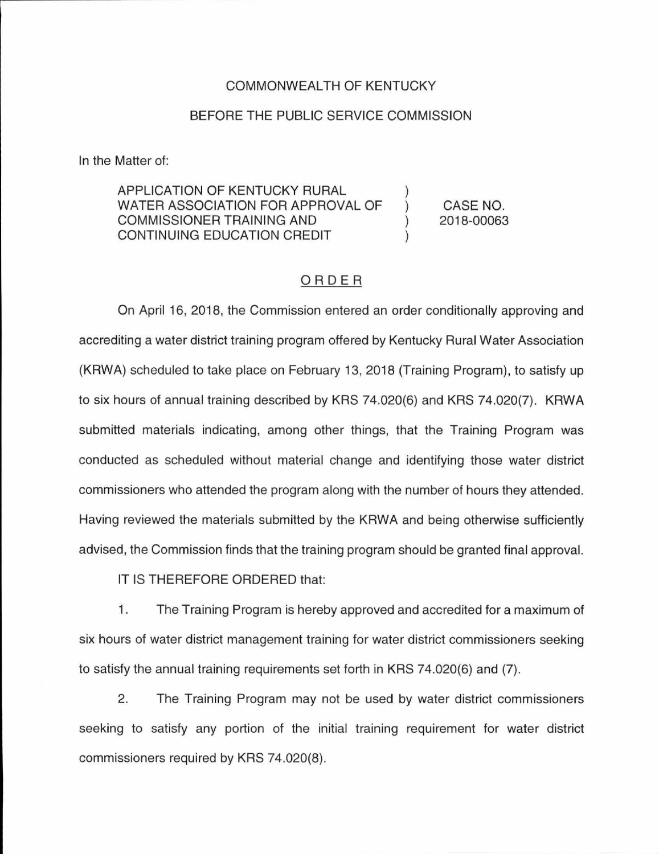## COMMONWEALTH OF KENTUCKY

## BEFORE THE PUBLIC SERVICE COMMISSION

In the Matter of:

APPLICATION OF KENTUCKY RURAL WATER ASSOCIATION FOR APPROVAL OF COMMISSIONER TRAINING AND  $\mathcal{C}$ CONTINUING EDUCATION CREDIT

CASE NO. 2018-00063

## ORDER

On April 16, 2018, the Commission entered an order conditionally approving and accrediting a water district training program offered by Kentucky Rural Water Association (KRWA) scheduled to take place on February 13, 2018 (Training Program), to satisfy up to six hours of annual training described by KRS 74.020(6) and KRS 74.020(7). KRWA submitted materials indicating, among other things, that the Training Program was conducted as scheduled without material change and identifying those water district commissioners who attended the program along with the number of hours they attended. Having reviewed the materials submitted by the KRWA and being otherwise sufficiently advised, the Commission finds that the training program should be granted final approval.

IT IS THEREFORE ORDERED that:

1. The Training Program is hereby approved and accredited for a maximum of six hours of water district management training for water district commissioners seeking to satisfy the annual training requirements set forth in KRS 74.020(6) and (7).

2. The Training Program may not be used by water district commissioners seeking to satisfy any portion of the initial training requirement for water district commissioners required by KRS 74.020(8).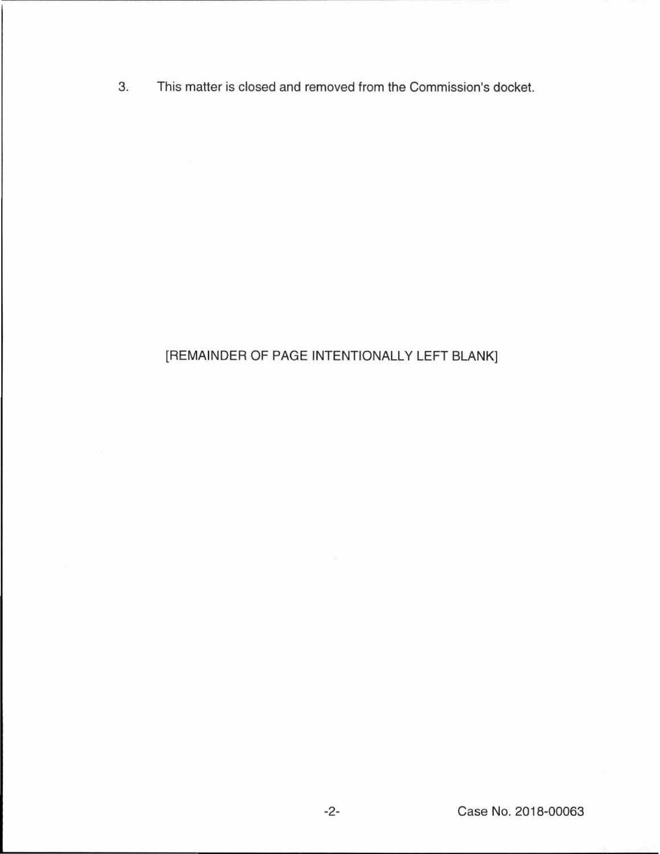3. This matter is closed and removed from the Commission's docket.

## [REMAINDER OF PAGE INTENTIONALLY LEFT BLANK]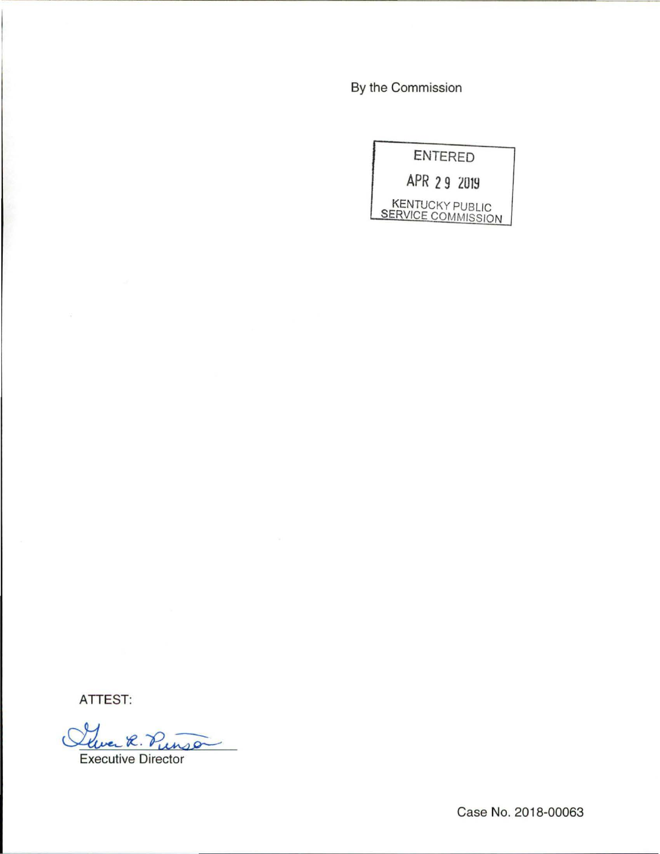By the Commission

|  |  |  | <b>ENTERED</b>                                      |
|--|--|--|-----------------------------------------------------|
|  |  |  | APR 29 2019                                         |
|  |  |  | <b>KENTUCKY PUBLIC</b><br><b>SERVICE COMMISSION</b> |

ATTEST:

Cluer R. Punso